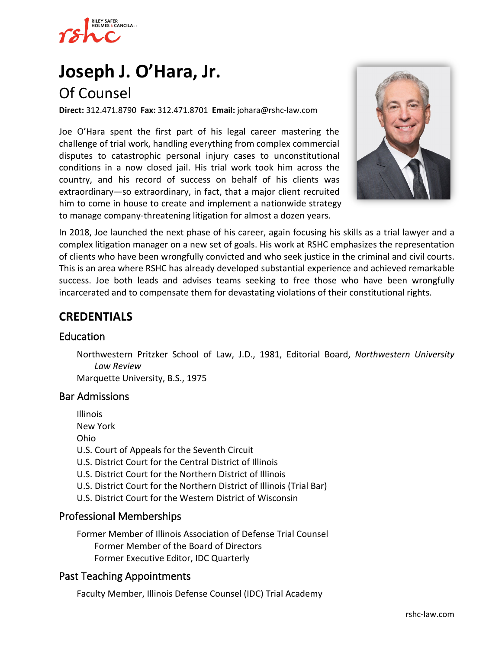

# **[Joseph J. O'Hara, Jr.](https://www.rshc-law.com/attorneys/attorney/joseph-j.-o)**

# Of Counsel

**Direct:** 312.471.8790 **Fax:** 312.471.8701 **Email:** johara@rshc-law.com

Joe O'Hara spent the first part of his legal career mastering the challenge of trial work, handling everything from complex commercial disputes to catastrophic personal injury cases to unconstitutional conditions in a now closed jail. His trial work took him across the country, and his record of success on behalf of his clients was extraordinary—so extraordinary, in fact, that a major client recruited him to come in house to create and implement a nationwide strategy to manage company-threatening litigation for almost a dozen years.



In 2018, Joe launched the next phase of his career, again focusing his skills as a trial lawyer and a complex litigation manager on a new set of goals. His work at RSHC emphasizes the representation of clients who have been wrongfully convicted and who seek justice in the criminal and civil courts. This is an area where RSHC has already developed substantial experience and achieved remarkable success. Joe both leads and advises teams seeking to free those who have been wrongfully incarcerated and to compensate them for devastating violations of their constitutional rights.

### **CREDENTIALS**

#### Education

Northwestern Pritzker School of Law, J.D., 1981, Editorial Board, *Northwestern University Law Review*

Marquette University, B.S., 1975

#### Bar Admissions

Illinois New York

Ohio

- U.S. Court of Appeals for the Seventh Circuit
- U.S. District Court for the Central District of Illinois
- U.S. District Court for the Northern District of Illinois
- U.S. District Court for the Northern District of Illinois (Trial Bar)
- U.S. District Court for the Western District of Wisconsin

#### Professional Memberships

Former Member of Illinois Association of Defense Trial Counsel Former Member of the Board of Directors Former Executive Editor, IDC Quarterly

#### Past Teaching Appointments

Faculty Member, Illinois Defense Counsel (IDC) Trial Academy